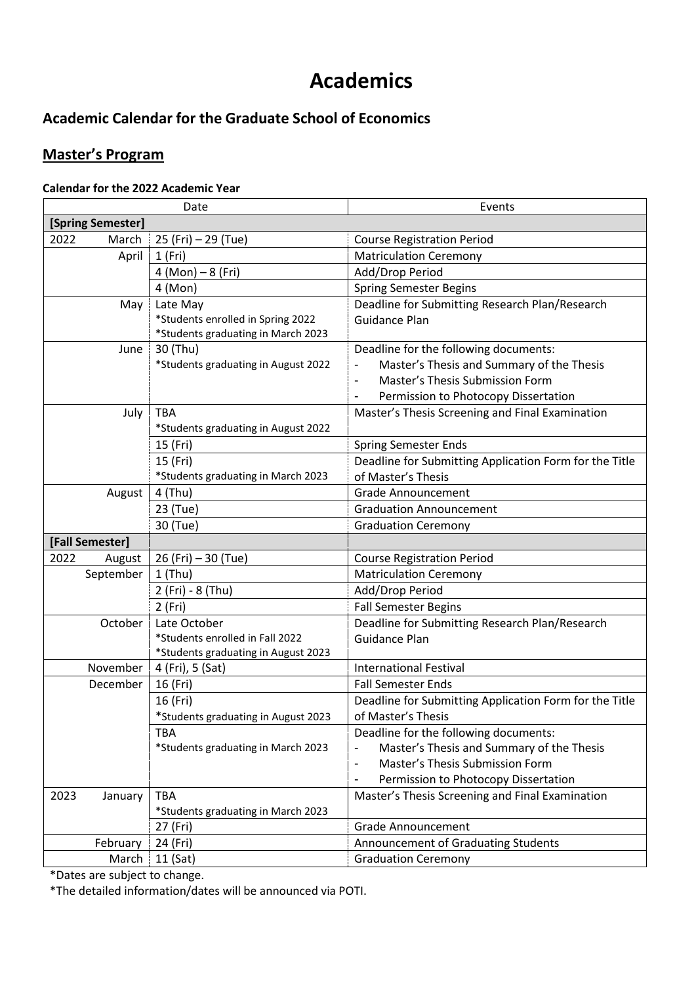# **Academics**

## **Academic Calendar for the Graduate School of Economics**

### **Master's Program**

#### **Calendar for the 2022 Academic Year**

| Date              |                                     | Events                                                            |
|-------------------|-------------------------------------|-------------------------------------------------------------------|
| [Spring Semester] |                                     |                                                                   |
| 2022<br>March     | 25 (Fri) - 29 (Tue)                 | <b>Course Registration Period</b>                                 |
| April             | 1(Fri)                              | <b>Matriculation Ceremony</b>                                     |
|                   | $4 (Mon) - 8 (Fri)$                 | Add/Drop Period                                                   |
|                   | 4 (Mon)                             | <b>Spring Semester Begins</b>                                     |
| May               | Late May                            | Deadline for Submitting Research Plan/Research                    |
|                   | *Students enrolled in Spring 2022   | Guidance Plan                                                     |
|                   | *Students graduating in March 2023  |                                                                   |
| June              | 30 (Thu)                            | Deadline for the following documents:                             |
|                   | *Students graduating in August 2022 | Master's Thesis and Summary of the Thesis                         |
|                   |                                     | Master's Thesis Submission Form                                   |
|                   |                                     | Permission to Photocopy Dissertation                              |
| July              | <b>TBA</b>                          | Master's Thesis Screening and Final Examination                   |
|                   | *Students graduating in August 2022 |                                                                   |
|                   | 15 (Fri)                            | <b>Spring Semester Ends</b>                                       |
|                   | 15 (Fri)                            | Deadline for Submitting Application Form for the Title            |
|                   | *Students graduating in March 2023  | of Master's Thesis                                                |
| August            | 4 (Thu)                             | <b>Grade Announcement</b>                                         |
|                   | 23 (Tue)                            | <b>Graduation Announcement</b>                                    |
|                   | 30 (Tue)                            | <b>Graduation Ceremony</b>                                        |
| [Fall Semester]   |                                     |                                                                   |
| 2022<br>August    | 26 (Fri) – 30 (Tue)                 | <b>Course Registration Period</b>                                 |
| September         | $1$ (Thu)                           | <b>Matriculation Ceremony</b>                                     |
|                   | 2 (Fri) - 8 (Thu)                   | Add/Drop Period                                                   |
|                   | 2 (Fri)                             | <b>Fall Semester Begins</b>                                       |
| October           | Late October                        | Deadline for Submitting Research Plan/Research                    |
|                   | *Students enrolled in Fall 2022     | <b>Guidance Plan</b>                                              |
|                   | *Students graduating in August 2023 |                                                                   |
| November          | 4 (Fri), 5 (Sat)                    | <b>International Festival</b>                                     |
| December          | 16 (Fri)                            | <b>Fall Semester Ends</b>                                         |
|                   | 16 (Fri)                            | Deadline for Submitting Application Form for the Title            |
|                   | *Students graduating in August 2023 | of Master's Thesis                                                |
|                   | <b>TBA</b>                          | Deadline for the following documents:                             |
|                   | *Students graduating in March 2023  | Master's Thesis and Summary of the Thesis                         |
|                   |                                     | Master's Thesis Submission Form<br>$\qquad \qquad \blacksquare$   |
|                   |                                     | Permission to Photocopy Dissertation                              |
| 2023<br>January   | <b>TBA</b>                          | Master's Thesis Screening and Final Examination                   |
|                   | *Students graduating in March 2023  |                                                                   |
|                   |                                     |                                                                   |
|                   | 27 (Fri)                            | <b>Grade Announcement</b>                                         |
| February<br>March | 24 (Fri)<br>11 (Sat)                | Announcement of Graduating Students<br><b>Graduation Ceremony</b> |

\*Dates are subject to change.

\*The detailed information/dates will be announced via POTI.